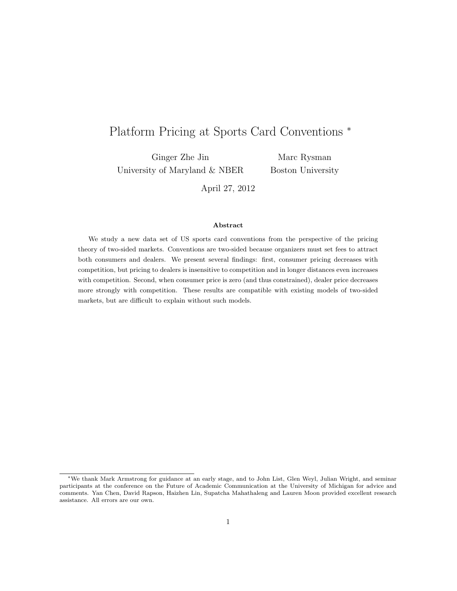# Platform Pricing at Sports Card Conventions <sup>∗</sup>

Ginger Zhe Jin University of Maryland & NBER

Marc Rysman Boston University

April 27, 2012

#### Abstract

We study a new data set of US sports card conventions from the perspective of the pricing theory of two-sided markets. Conventions are two-sided because organizers must set fees to attract both consumers and dealers. We present several findings: first, consumer pricing decreases with competition, but pricing to dealers is insensitive to competition and in longer distances even increases with competition. Second, when consumer price is zero (and thus constrained), dealer price decreases more strongly with competition. These results are compatible with existing models of two-sided markets, but are difficult to explain without such models.

<sup>∗</sup>We thank Mark Armstrong for guidance at an early stage, and to John List, Glen Weyl, Julian Wright, and seminar participants at the conference on the Future of Academic Communication at the University of Michigan for advice and comments. Yan Chen, David Rapson, Haizhen Lin, Supatcha Mahathaleng and Lauren Moon provided excellent research assistance. All errors are our own.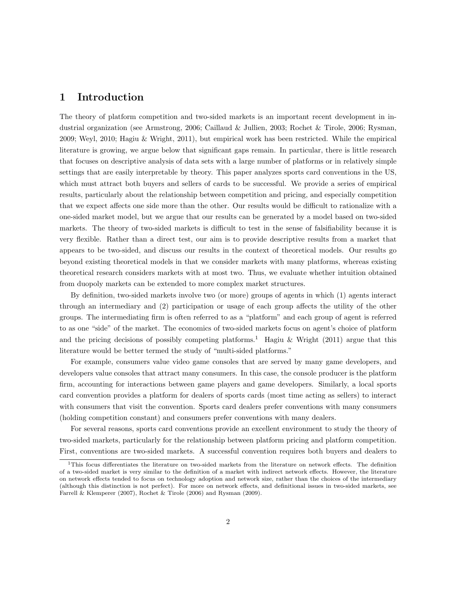#### 1 Introduction

The theory of platform competition and two-sided markets is an important recent development in industrial organization (see Armstrong, 2006; Caillaud & Jullien, 2003; Rochet & Tirole, 2006; Rysman, 2009; Weyl, 2010; Hagiu & Wright, 2011), but empirical work has been restricted. While the empirical literature is growing, we argue below that significant gaps remain. In particular, there is little research that focuses on descriptive analysis of data sets with a large number of platforms or in relatively simple settings that are easily interpretable by theory. This paper analyzes sports card conventions in the US, which must attract both buyers and sellers of cards to be successful. We provide a series of empirical results, particularly about the relationship between competition and pricing, and especially competition that we expect affects one side more than the other. Our results would be difficult to rationalize with a one-sided market model, but we argue that our results can be generated by a model based on two-sided markets. The theory of two-sided markets is difficult to test in the sense of falsifiability because it is very flexible. Rather than a direct test, our aim is to provide descriptive results from a market that appears to be two-sided, and discuss our results in the context of theoretical models. Our results go beyond existing theoretical models in that we consider markets with many platforms, whereas existing theoretical research considers markets with at most two. Thus, we evaluate whether intuition obtained from duopoly markets can be extended to more complex market structures.

By definition, two-sided markets involve two (or more) groups of agents in which (1) agents interact through an intermediary and (2) participation or usage of each group affects the utility of the other groups. The intermediating firm is often referred to as a "platform" and each group of agent is referred to as one "side" of the market. The economics of two-sided markets focus on agent's choice of platform and the pricing decisions of possibly competing platforms.<sup>1</sup> Hagiu & Wright (2011) argue that this literature would be better termed the study of "multi-sided platforms."

For example, consumers value video game consoles that are served by many game developers, and developers value consoles that attract many consumers. In this case, the console producer is the platform firm, accounting for interactions between game players and game developers. Similarly, a local sports card convention provides a platform for dealers of sports cards (most time acting as sellers) to interact with consumers that visit the convention. Sports card dealers prefer conventions with many consumers (holding competition constant) and consumers prefer conventions with many dealers.

For several reasons, sports card conventions provide an excellent environment to study the theory of two-sided markets, particularly for the relationship between platform pricing and platform competition. First, conventions are two-sided markets. A successful convention requires both buyers and dealers to

<sup>1</sup>This focus differentiates the literature on two-sided markets from the literature on network effects. The definition of a two-sided market is very similar to the definition of a market with indirect network effects. However, the literature on network effects tended to focus on technology adoption and network size, rather than the choices of the intermediary (although this distinction is not perfect). For more on network effects, and definitional issues in two-sided markets, see Farrell & Klemperer (2007), Rochet & Tirole (2006) and Rysman (2009).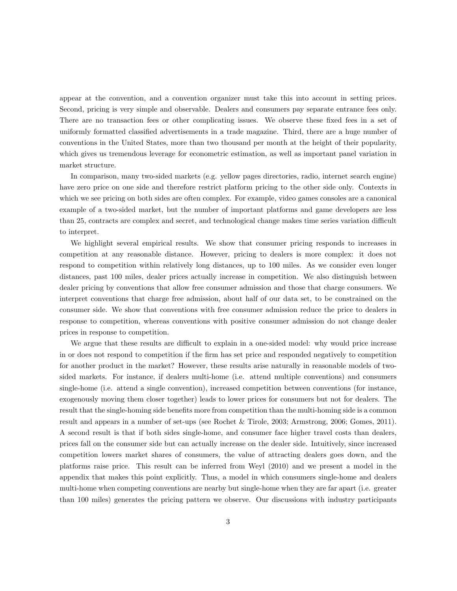appear at the convention, and a convention organizer must take this into account in setting prices. Second, pricing is very simple and observable. Dealers and consumers pay separate entrance fees only. There are no transaction fees or other complicating issues. We observe these fixed fees in a set of uniformly formatted classified advertisements in a trade magazine. Third, there are a huge number of conventions in the United States, more than two thousand per month at the height of their popularity, which gives us tremendous leverage for econometric estimation, as well as important panel variation in market structure.

In comparison, many two-sided markets (e.g. yellow pages directories, radio, internet search engine) have zero price on one side and therefore restrict platform pricing to the other side only. Contexts in which we see pricing on both sides are often complex. For example, video games consoles are a canonical example of a two-sided market, but the number of important platforms and game developers are less than 25, contracts are complex and secret, and technological change makes time series variation difficult to interpret.

We highlight several empirical results. We show that consumer pricing responds to increases in competition at any reasonable distance. However, pricing to dealers is more complex: it does not respond to competition within relatively long distances, up to 100 miles. As we consider even longer distances, past 100 miles, dealer prices actually increase in competition. We also distinguish between dealer pricing by conventions that allow free consumer admission and those that charge consumers. We interpret conventions that charge free admission, about half of our data set, to be constrained on the consumer side. We show that conventions with free consumer admission reduce the price to dealers in response to competition, whereas conventions with positive consumer admission do not change dealer prices in response to competition.

We argue that these results are difficult to explain in a one-sided model: why would price increase in or does not respond to competition if the firm has set price and responded negatively to competition for another product in the market? However, these results arise naturally in reasonable models of twosided markets. For instance, if dealers multi-home (i.e. attend multiple conventions) and consumers single-home (i.e. attend a single convention), increased competition between conventions (for instance, exogenously moving them closer together) leads to lower prices for consumers but not for dealers. The result that the single-homing side benefits more from competition than the multi-homing side is a common result and appears in a number of set-ups (see Rochet & Tirole, 2003; Armstrong, 2006; Gomes, 2011). A second result is that if both sides single-home, and consumer face higher travel costs than dealers, prices fall on the consumer side but can actually increase on the dealer side. Intuitively, since increased competition lowers market shares of consumers, the value of attracting dealers goes down, and the platforms raise price. This result can be inferred from Weyl (2010) and we present a model in the appendix that makes this point explicitly. Thus, a model in which consumers single-home and dealers multi-home when competing conventions are nearby but single-home when they are far apart (i.e. greater than 100 miles) generates the pricing pattern we observe. Our discussions with industry participants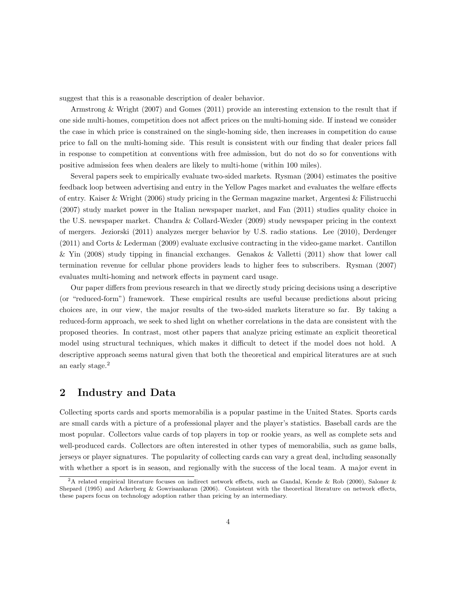suggest that this is a reasonable description of dealer behavior.

Armstrong & Wright (2007) and Gomes (2011) provide an interesting extension to the result that if one side multi-homes, competition does not affect prices on the multi-homing side. If instead we consider the case in which price is constrained on the single-homing side, then increases in competition do cause price to fall on the multi-homing side. This result is consistent with our finding that dealer prices fall in response to competition at conventions with free admission, but do not do so for conventions with positive admission fees when dealers are likely to multi-home (within 100 miles).

Several papers seek to empirically evaluate two-sided markets. Rysman (2004) estimates the positive feedback loop between advertising and entry in the Yellow Pages market and evaluates the welfare effects of entry. Kaiser & Wright (2006) study pricing in the German magazine market, Argentesi & Filistrucchi (2007) study market power in the Italian newspaper market, and Fan (2011) studies quality choice in the U.S. newspaper market. Chandra & Collard-Wexler (2009) study newspaper pricing in the context of mergers. Jeziorski (2011) analyzes merger behavior by U.S. radio stations. Lee (2010), Derdenger (2011) and Corts & Lederman (2009) evaluate exclusive contracting in the video-game market. Cantillon & Yin (2008) study tipping in financial exchanges. Genakos & Valletti (2011) show that lower call termination revenue for cellular phone providers leads to higher fees to subscribers. Rysman (2007) evaluates multi-homing and network effects in payment card usage.

Our paper differs from previous research in that we directly study pricing decisions using a descriptive (or "reduced-form") framework. These empirical results are useful because predictions about pricing choices are, in our view, the major results of the two-sided markets literature so far. By taking a reduced-form approach, we seek to shed light on whether correlations in the data are consistent with the proposed theories. In contrast, most other papers that analyze pricing estimate an explicit theoretical model using structural techniques, which makes it difficult to detect if the model does not hold. A descriptive approach seems natural given that both the theoretical and empirical literatures are at such an early stage.<sup>2</sup>

#### 2 Industry and Data

Collecting sports cards and sports memorabilia is a popular pastime in the United States. Sports cards are small cards with a picture of a professional player and the player's statistics. Baseball cards are the most popular. Collectors value cards of top players in top or rookie years, as well as complete sets and well-produced cards. Collectors are often interested in other types of memorabilia, such as game balls, jerseys or player signatures. The popularity of collecting cards can vary a great deal, including seasonally with whether a sport is in season, and regionally with the success of the local team. A major event in

<sup>2</sup>A related empirical literature focuses on indirect network effects, such as Gandal, Kende & Rob (2000), Saloner & Shepard (1995) and Ackerberg & Gowrisankaran (2006). Consistent with the theoretical literature on network effects, these papers focus on technology adoption rather than pricing by an intermediary.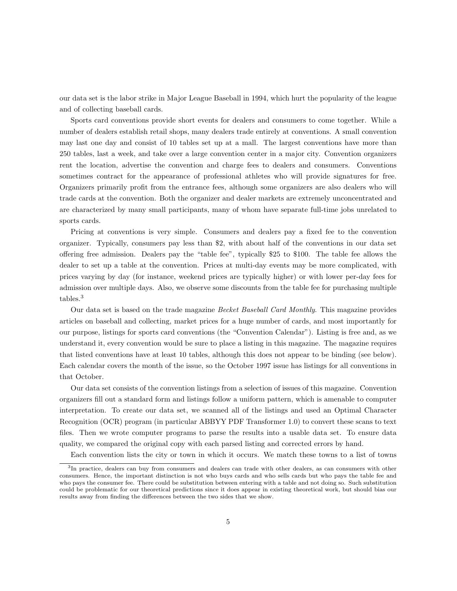our data set is the labor strike in Major League Baseball in 1994, which hurt the popularity of the league and of collecting baseball cards.

Sports card conventions provide short events for dealers and consumers to come together. While a number of dealers establish retail shops, many dealers trade entirely at conventions. A small convention may last one day and consist of 10 tables set up at a mall. The largest conventions have more than 250 tables, last a week, and take over a large convention center in a major city. Convention organizers rent the location, advertise the convention and charge fees to dealers and consumers. Conventions sometimes contract for the appearance of professional athletes who will provide signatures for free. Organizers primarily profit from the entrance fees, although some organizers are also dealers who will trade cards at the convention. Both the organizer and dealer markets are extremely unconcentrated and are characterized by many small participants, many of whom have separate full-time jobs unrelated to sports cards.

Pricing at conventions is very simple. Consumers and dealers pay a fixed fee to the convention organizer. Typically, consumers pay less than \$2, with about half of the conventions in our data set offering free admission. Dealers pay the "table fee", typically \$25 to \$100. The table fee allows the dealer to set up a table at the convention. Prices at multi-day events may be more complicated, with prices varying by day (for instance, weekend prices are typically higher) or with lower per-day fees for admission over multiple days. Also, we observe some discounts from the table fee for purchasing multiple tables.<sup>3</sup>

Our data set is based on the trade magazine Becket Baseball Card Monthly. This magazine provides articles on baseball and collecting, market prices for a huge number of cards, and most importantly for our purpose, listings for sports card conventions (the "Convention Calendar"). Listing is free and, as we understand it, every convention would be sure to place a listing in this magazine. The magazine requires that listed conventions have at least 10 tables, although this does not appear to be binding (see below). Each calendar covers the month of the issue, so the October 1997 issue has listings for all conventions in that October.

Our data set consists of the convention listings from a selection of issues of this magazine. Convention organizers fill out a standard form and listings follow a uniform pattern, which is amenable to computer interpretation. To create our data set, we scanned all of the listings and used an Optimal Character Recognition (OCR) program (in particular ABBYY PDF Transformer 1.0) to convert these scans to text files. Then we wrote computer programs to parse the results into a usable data set. To ensure data quality, we compared the original copy with each parsed listing and corrected errors by hand.

Each convention lists the city or town in which it occurs. We match these towns to a list of towns

<sup>3</sup> In practice, dealers can buy from consumers and dealers can trade with other dealers, as can consumers with other consumers. Hence, the important distinction is not who buys cards and who sells cards but who pays the table fee and who pays the consumer fee. There could be substitution between entering with a table and not doing so. Such substitution could be problematic for our theoretical predictions since it does appear in existing theoretical work, but should bias our results away from finding the differences between the two sides that we show.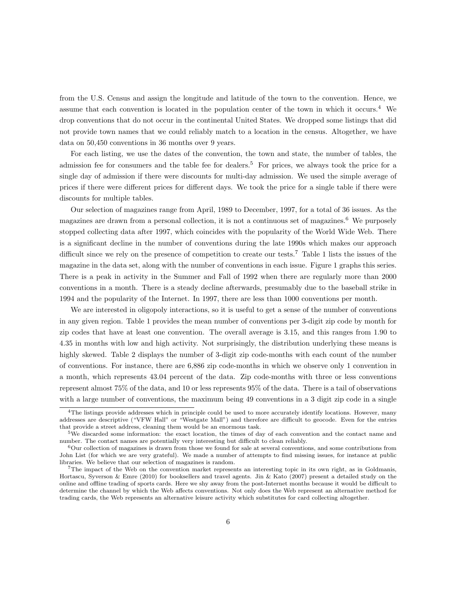from the U.S. Census and assign the longitude and latitude of the town to the convention. Hence, we assume that each convention is located in the population center of the town in which it occurs.<sup>4</sup> We drop conventions that do not occur in the continental United States. We dropped some listings that did not provide town names that we could reliably match to a location in the census. Altogether, we have data on 50,450 conventions in 36 months over 9 years.

For each listing, we use the dates of the convention, the town and state, the number of tables, the admission fee for consumers and the table fee for dealers.<sup>5</sup> For prices, we always took the price for a single day of admission if there were discounts for multi-day admission. We used the simple average of prices if there were different prices for different days. We took the price for a single table if there were discounts for multiple tables.

Our selection of magazines range from April, 1989 to December, 1997, for a total of 36 issues. As the magazines are drawn from a personal collection, it is not a continuous set of magazines.<sup>6</sup> We purposely stopped collecting data after 1997, which coincides with the popularity of the World Wide Web. There is a significant decline in the number of conventions during the late 1990s which makes our approach difficult since we rely on the presence of competition to create our tests.<sup>7</sup> Table 1 lists the issues of the magazine in the data set, along with the number of conventions in each issue. Figure 1 graphs this series. There is a peak in activity in the Summer and Fall of 1992 when there are regularly more than 2000 conventions in a month. There is a steady decline afterwards, presumably due to the baseball strike in 1994 and the popularity of the Internet. In 1997, there are less than 1000 conventions per month.

We are interested in oligopoly interactions, so it is useful to get a sense of the number of conventions in any given region. Table 1 provides the mean number of conventions per 3-digit zip code by month for zip codes that have at least one convention. The overall average is 3.15, and this ranges from 1.90 to 4.35 in months with low and high activity. Not surprisingly, the distribution underlying these means is highly skewed. Table 2 displays the number of 3-digit zip code-months with each count of the number of conventions. For instance, there are 6,886 zip code-months in which we observe only 1 convention in a month, which represents 43.04 percent of the data. Zip code-months with three or less conventions represent almost 75% of the data, and 10 or less represents 95% of the data. There is a tail of observations with a large number of conventions, the maximum being 49 conventions in a 3 digit zip code in a single

<sup>4</sup>The listings provide addresses which in principle could be used to more accurately identify locations. However, many addresses are descriptive ("VFW Hall" or "Westgate Mall") and therefore are difficult to geocode. Even for the entries that provide a street address, cleaning them would be an enormous task.

<sup>5</sup>We discarded some information: the exact location, the times of day of each convention and the contact name and number. The contact names are potentially very interesting but difficult to clean reliably.

 $6$ Our collection of magazines is drawn from those we found for sale at several conventions, and some contributions from John List (for which we are very grateful). We made a number of attempts to find missing issues, for instance at public libraries. We believe that our selection of magazines is random.

<sup>7</sup>The impact of the Web on the convention market represents an interesting topic in its own right, as in Goldmanis, Hortascu, Syverson & Emre (2010) for booksellers and travel agents. Jin & Kato (2007) present a detailed study on the online and offline trading of sports cards. Here we shy away from the post-Internet months because it would be difficult to determine the channel by which the Web affects conventions. Not only does the Web represent an alternative method for trading cards, the Web represents an alternative leisure activity which substitutes for card collecting altogether.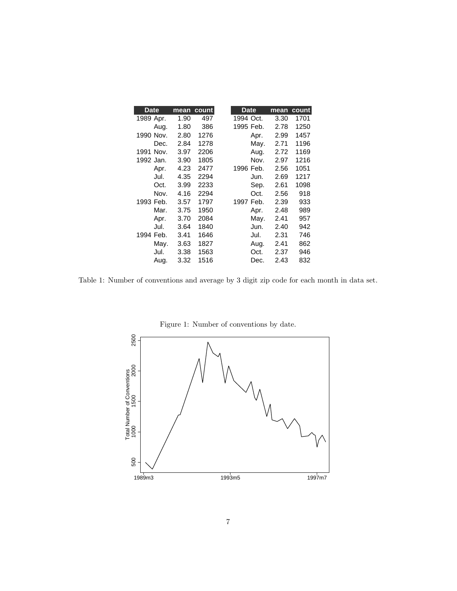| Date      | mean | count | <b>Date</b> | mean | count |
|-----------|------|-------|-------------|------|-------|
| 1989 Apr. | 1.90 | 497   | 1994 Oct.   | 3.30 | 1701  |
| Aug.      | 1.80 | 386   | 1995 Feb.   | 2.78 | 1250  |
| 1990 Nov. | 2.80 | 1276  | Apr.        | 2.99 | 1457  |
| Dec.      | 2.84 | 1278  | May.        | 2.71 | 1196  |
| 1991 Nov. | 3.97 | 2206  | Aug.        | 2.72 | 1169  |
| 1992 Jan. | 3.90 | 1805  | Nov.        | 2.97 | 1216  |
| Apr.      | 4.23 | 2477  | 1996 Feb.   | 2.56 | 1051  |
| Jul.      | 4.35 | 2294  | Jun.        | 2.69 | 1217  |
| Oct.      | 3.99 | 2233  | Sep.        | 2.61 | 1098  |
| Nov.      | 4.16 | 2294  | Oct.        | 2.56 | 918   |
| 1993 Feb. | 3.57 | 1797  | 1997 Feb.   | 2.39 | 933   |
| Mar.      | 3.75 | 1950  | Apr.        | 2.48 | 989   |
| Apr.      | 3.70 | 2084  | May.        | 2.41 | 957   |
| Jul.      | 3.64 | 1840  | Jun.        | 2.40 | 942   |
| 1994 Feb. | 3.41 | 1646  | Jul.        | 2.31 | 746   |
| May.      | 3.63 | 1827  | Aug.        | 2.41 | 862   |
| Jul.      | 3.38 | 1563  | Oct.        | 2.37 | 946   |
| Aug.      | 3.32 | 1516  | Dec.        | 2.43 | 832   |

Table 1: Number of conventions and average by 3 digit zip code for each month in data set.



Figure 1: Number of conventions by date.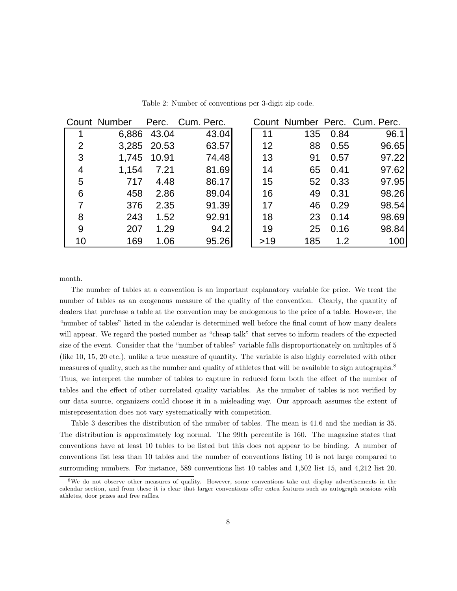|    | Count Number | Perc. | Cum. Perc. |     |     |      | Count Number Perc. Cum. Perc. |
|----|--------------|-------|------------|-----|-----|------|-------------------------------|
|    | 6,886        | 43.04 | 43.04      | 11  | 135 | 0.84 | 96.1                          |
| 2  | 3,285        | 20.53 | 63.57      | 12  | 88  | 0.55 | 96.65                         |
| 3  | 1,745        | 10.91 | 74.48      | 13  | 91  | 0.57 | 97.22                         |
| 4  | 1,154        | 7.21  | 81.69      | 14  | 65  | 0.41 | 97.62                         |
| 5  | 717          | 4.48  | 86.17      | 15  | 52  | 0.33 | 97.95                         |
| 6  | 458          | 2.86  | 89.04      | 16  | 49  | 0.31 | 98.26                         |
| 7  | 376          | 2.35  | 91.39      | 17  | 46  | 0.29 | 98.54                         |
| 8  | 243          | 1.52  | 92.91      | 18  | 23  | 0.14 | 98.69                         |
| 9  | 207          | 1.29  | 94.2       | 19  | 25  | 0.16 | 98.84                         |
| 10 | 169          | 1.06  | 95.26      | >19 | 185 | 1.2  | 100                           |

Table 2: Number of conventions per 3-digit zip code.

month.

The number of tables at a convention is an important explanatory variable for price. We treat the number of tables as an exogenous measure of the quality of the convention. Clearly, the quantity of dealers that purchase a table at the convention may be endogenous to the price of a table. However, the "number of tables" listed in the calendar is determined well before the final count of how many dealers will appear. We regard the posted number as "cheap talk" that serves to inform readers of the expected size of the event. Consider that the "number of tables" variable falls disproportionately on multiples of 5 (like 10, 15, 20 etc.), unlike a true measure of quantity. The variable is also highly correlated with other measures of quality, such as the number and quality of athletes that will be available to sign autographs.<sup>8</sup> Thus, we interpret the number of tables to capture in reduced form both the effect of the number of tables and the effect of other correlated quality variables. As the number of tables is not verified by our data source, organizers could choose it in a misleading way. Our approach assumes the extent of misrepresentation does not vary systematically with competition.

Table 3 describes the distribution of the number of tables. The mean is 41.6 and the median is 35. The distribution is approximately log normal. The 99th percentile is 160. The magazine states that conventions have at least 10 tables to be listed but this does not appear to be binding. A number of conventions list less than 10 tables and the number of conventions listing 10 is not large compared to surrounding numbers. For instance, 589 conventions list 10 tables and 1,502 list 15, and 4,212 list 20.

<sup>&</sup>lt;sup>8</sup>We do not observe other measures of quality. However, some conventions take out display advertisements in the calendar section, and from these it is clear that larger conventions offer extra features such as autograph sessions with athletes, door prizes and free raffles.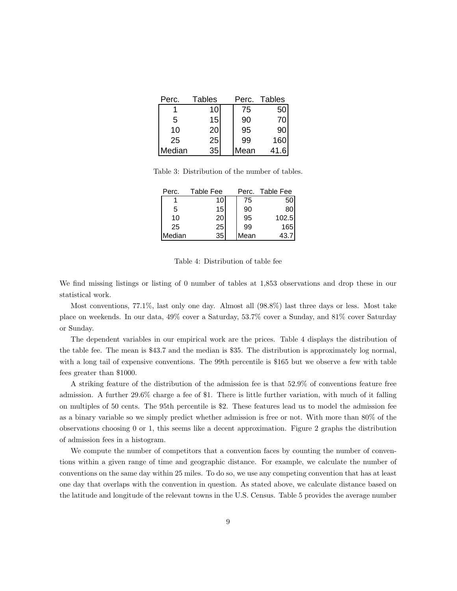| Perc.  | <b>Tables</b> | Perc. | <b>Tables</b> |  |
|--------|---------------|-------|---------------|--|
|        | 10            | 75    | 50            |  |
| 5      | 15            | 90    |               |  |
| 10     | 20            | 95    | 90            |  |
| 25     | 25            | 99    | 160           |  |
| Median | 35            | Mean  | 41.6          |  |

Table 3: Distribution of the number of tables.

| Perc.  | <b>Table Fee</b> | Perc. | <b>Table Fee</b> |
|--------|------------------|-------|------------------|
|        | 10               | 75    |                  |
| 5      | 15               | 90    | 80               |
| 10     | 20               | 95    | 102.5            |
| 25     | 25               | 99    | 165              |
| Median | 35               | Mean  | 43.              |

Table 4: Distribution of table fee

We find missing listings or listing of 0 number of tables at 1,853 observations and drop these in our statistical work.

Most conventions, 77.1%, last only one day. Almost all (98.8%) last three days or less. Most take place on weekends. In our data, 49% cover a Saturday, 53.7% cover a Sunday, and 81% cover Saturday or Sunday.

The dependent variables in our empirical work are the prices. Table 4 displays the distribution of the table fee. The mean is \$43.7 and the median is \$35. The distribution is approximately log normal, with a long tail of expensive conventions. The 99th percentile is \$165 but we observe a few with table fees greater than \$1000.

A striking feature of the distribution of the admission fee is that 52.9% of conventions feature free admission. A further 29.6% charge a fee of \$1. There is little further variation, with much of it falling on multiples of 50 cents. The 95th percentile is \$2. These features lead us to model the admission fee as a binary variable so we simply predict whether admission is free or not. With more than 80% of the observations choosing 0 or 1, this seems like a decent approximation. Figure 2 graphs the distribution of admission fees in a histogram.

We compute the number of competitors that a convention faces by counting the number of conventions within a given range of time and geographic distance. For example, we calculate the number of conventions on the same day within 25 miles. To do so, we use any competing convention that has at least one day that overlaps with the convention in question. As stated above, we calculate distance based on the latitude and longitude of the relevant towns in the U.S. Census. Table 5 provides the average number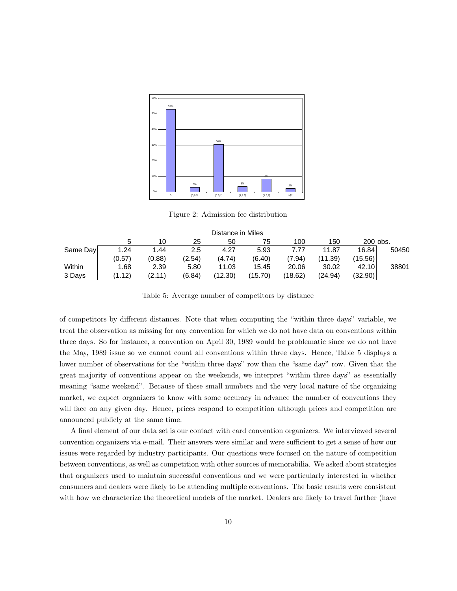

Figure 2: Admission fee distribution

|          | Distance in Miles |        |        |         |         |         |         |         |          |
|----------|-------------------|--------|--------|---------|---------|---------|---------|---------|----------|
|          |                   | 10     | 25     | 50      | 75      | 100     | 150     |         | 200 obs. |
| Same Day | 1.24              | 1.44   | 2.5    | 4.27    | 5.93    | 7.77    | 11.87   | 16.84   | 50450    |
|          | (0.57)            | (0.88) | (2.54) | (4.74)  | (6.40)  | (7.94)  | (11.39) | (15.56) |          |
| Within   | 1.68              | 2.39   | 5.80   | 11.03   | 15.45   | 20.06   | 30.02   | 42.10   | 38801    |
| 3 Days   | (1.12)            | (2.11) | (6.84) | (12.30) | (15.70) | (18.62) | (24.94) | (32.90) |          |

Table 5: Average number of competitors by distance

of competitors by different distances. Note that when computing the "within three days" variable, we treat the observation as missing for any convention for which we do not have data on conventions within three days. So for instance, a convention on April 30, 1989 would be problematic since we do not have the May, 1989 issue so we cannot count all conventions within three days. Hence, Table 5 displays a lower number of observations for the "within three days" row than the "same day" row. Given that the great majority of conventions appear on the weekends, we interpret "within three days" as essentially meaning "same weekend". Because of these small numbers and the very local nature of the organizing market, we expect organizers to know with some accuracy in advance the number of conventions they will face on any given day. Hence, prices respond to competition although prices and competition are announced publicly at the same time.

A final element of our data set is our contact with card convention organizers. We interviewed several convention organizers via e-mail. Their answers were similar and were sufficient to get a sense of how our issues were regarded by industry participants. Our questions were focused on the nature of competition between conventions, as well as competition with other sources of memorabilia. We asked about strategies that organizers used to maintain successful conventions and we were particularly interested in whether consumers and dealers were likely to be attending multiple conventions. The basic results were consistent with how we characterize the theoretical models of the market. Dealers are likely to travel further (have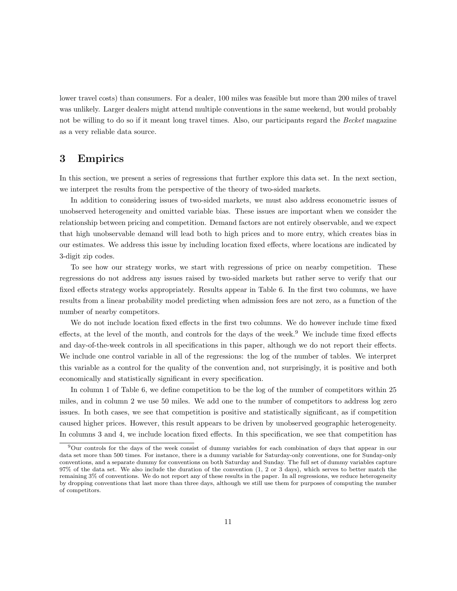lower travel costs) than consumers. For a dealer, 100 miles was feasible but more than 200 miles of travel was unlikely. Larger dealers might attend multiple conventions in the same weekend, but would probably not be willing to do so if it meant long travel times. Also, our participants regard the Becket magazine as a very reliable data source.

#### 3 Empirics

In this section, we present a series of regressions that further explore this data set. In the next section, we interpret the results from the perspective of the theory of two-sided markets.

In addition to considering issues of two-sided markets, we must also address econometric issues of unobserved heterogeneity and omitted variable bias. These issues are important when we consider the relationship between pricing and competition. Demand factors are not entirely observable, and we expect that high unobservable demand will lead both to high prices and to more entry, which creates bias in our estimates. We address this issue by including location fixed effects, where locations are indicated by 3-digit zip codes.

To see how our strategy works, we start with regressions of price on nearby competition. These regressions do not address any issues raised by two-sided markets but rather serve to verify that our fixed effects strategy works appropriately. Results appear in Table 6. In the first two columns, we have results from a linear probability model predicting when admission fees are not zero, as a function of the number of nearby competitors.

We do not include location fixed effects in the first two columns. We do however include time fixed effects, at the level of the month, and controls for the days of the week.<sup>9</sup> We include time fixed effects and day-of-the-week controls in all specifications in this paper, although we do not report their effects. We include one control variable in all of the regressions: the log of the number of tables. We interpret this variable as a control for the quality of the convention and, not surprisingly, it is positive and both economically and statistically significant in every specification.

In column 1 of Table 6, we define competition to be the log of the number of competitors within 25 miles, and in column 2 we use 50 miles. We add one to the number of competitors to address log zero issues. In both cases, we see that competition is positive and statistically significant, as if competition caused higher prices. However, this result appears to be driven by unobserved geographic heterogeneity. In columns 3 and 4, we include location fixed effects. In this specification, we see that competition has

<sup>9</sup>Our controls for the days of the week consist of dummy variables for each combination of days that appear in our data set more than 500 times. For instance, there is a dummy variable for Saturday-only conventions, one for Sunday-only conventions, and a separate dummy for conventions on both Saturday and Sunday. The full set of dummy variables capture  $97\%$  of the data set. We also include the duration of the convention  $(1, 2 \text{ or } 3 \text{ days})$ , which serves to better match the remaining 3% of conventions. We do not report any of these results in the paper. In all regressions, we reduce heterogeneity by dropping conventions that last more than three days, although we still use them for purposes of computing the number of competitors.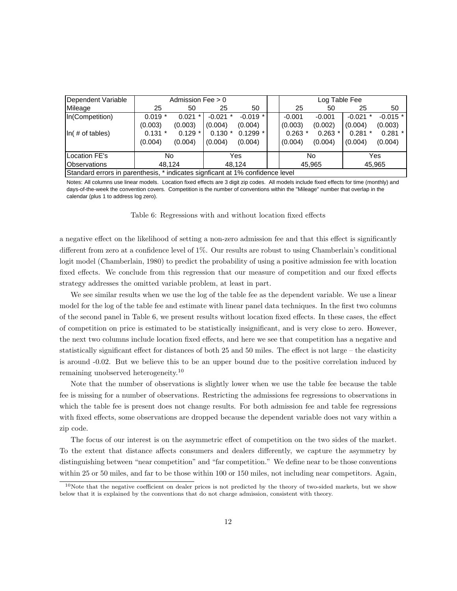| Dependent Variable                                                            | Admission Fee $> 0$ |           |            |           |  |          | Log Table Fee |            |            |  |
|-------------------------------------------------------------------------------|---------------------|-----------|------------|-----------|--|----------|---------------|------------|------------|--|
| Mileage                                                                       | 25                  | 50        | 25         | 50        |  | 25       | 50            | 25         | 50         |  |
| In(Competition)                                                               | $0.019*$            | $0.021$ * | $-0.021$ * | $-0.019*$ |  | $-0.001$ | $-0.001$      | $-0.021$ * | $-0.015$ * |  |
|                                                                               | (0.003)             | (0.003)   | (0.004)    | (0.004)   |  | (0.003)  | (0.002)       | (0.004)    | (0.003)    |  |
| $ln($ # of tables)                                                            | $0.131$ *           | $0.129$ * | $0.130*$   | $0.1299*$ |  | $0.263*$ | $0.263*$      | $0.281$ *  | $0.281$ *  |  |
|                                                                               | (0.004)             | (0.004)   | (0.004)    | (0.004)   |  | (0.004)  | (0.004)       | (0.004)    | (0.004)    |  |
| Location FE's                                                                 | No                  |           | Yes        |           |  | No       |               | Yes        |            |  |
| <b>Observations</b>                                                           | 48.124              |           | 48.124     |           |  |          | 45.965        |            | 45,965     |  |
| Standard errors in parenthesis, * indicates signficant at 1% confidence level |                     |           |            |           |  |          |               |            |            |  |

Notes: All columns use linear models. Location fixed effects are 3 digit zip codes. All models include fixed effects for time (monthly) and days-of-the-week the convention covers. Competition is the number of conventions within the "Mileage" number that overlap in the calendar (plus 1 to address log zero).

Table 6: Regressions with and without location fixed effects

a negative effect on the likelihood of setting a non-zero admission fee and that this effect is significantly different from zero at a confidence level of 1%. Our results are robust to using Chamberlain's conditional logit model (Chamberlain, 1980) to predict the probability of using a positive admission fee with location fixed effects. We conclude from this regression that our measure of competition and our fixed effects strategy addresses the omitted variable problem, at least in part.

We see similar results when we use the log of the table fee as the dependent variable. We use a linear model for the log of the table fee and estimate with linear panel data techniques. In the first two columns of the second panel in Table 6, we present results without location fixed effects. In these cases, the effect of competition on price is estimated to be statistically insignificant, and is very close to zero. However, the next two columns include location fixed effects, and here we see that competition has a negative and statistically significant effect for distances of both 25 and 50 miles. The effect is not large – the elasticity is around -0.02. But we believe this to be an upper bound due to the positive correlation induced by remaining unobserved heterogeneity.<sup>10</sup>

Note that the number of observations is slightly lower when we use the table fee because the table fee is missing for a number of observations. Restricting the admissions fee regressions to observations in which the table fee is present does not change results. For both admission fee and table fee regressions with fixed effects, some observations are dropped because the dependent variable does not vary within a zip code.

The focus of our interest is on the asymmetric effect of competition on the two sides of the market. To the extent that distance affects consumers and dealers differently, we capture the asymmetry by distinguishing between "near competition" and "far competition." We define near to be those conventions within 25 or 50 miles, and far to be those within 100 or 150 miles, not including near competitors. Again,

 $10$ Note that the negative coefficient on dealer prices is not predicted by the theory of two-sided markets, but we show below that it is explained by the conventions that do not charge admission, consistent with theory.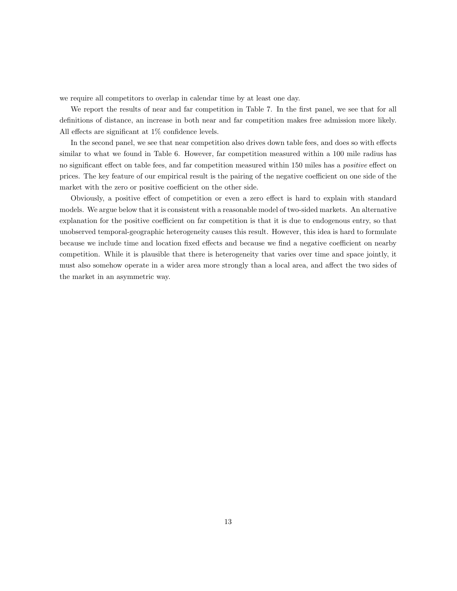we require all competitors to overlap in calendar time by at least one day.

We report the results of near and far competition in Table 7. In the first panel, we see that for all definitions of distance, an increase in both near and far competition makes free admission more likely. All effects are significant at 1% confidence levels.

In the second panel, we see that near competition also drives down table fees, and does so with effects similar to what we found in Table 6. However, far competition measured within a 100 mile radius has no significant effect on table fees, and far competition measured within 150 miles has a positive effect on prices. The key feature of our empirical result is the pairing of the negative coefficient on one side of the market with the zero or positive coefficient on the other side.

Obviously, a positive effect of competition or even a zero effect is hard to explain with standard models. We argue below that it is consistent with a reasonable model of two-sided markets. An alternative explanation for the positive coefficient on far competition is that it is due to endogenous entry, so that unobserved temporal-geographic heterogeneity causes this result. However, this idea is hard to formulate because we include time and location fixed effects and because we find a negative coefficient on nearby competition. While it is plausible that there is heterogeneity that varies over time and space jointly, it must also somehow operate in a wider area more strongly than a local area, and affect the two sides of the market in an asymmetric way.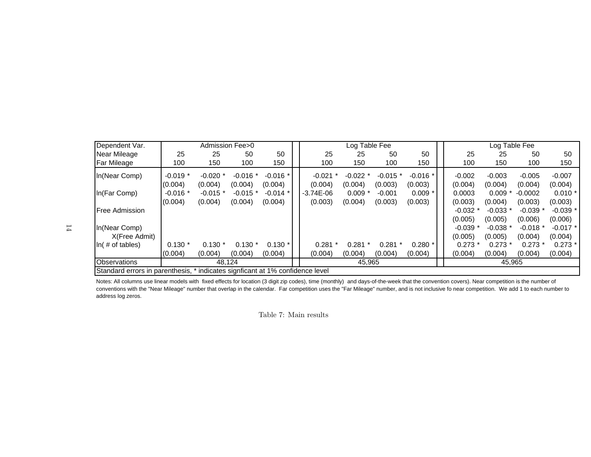| Dependent Var.                                                                |                            | Admission Fee>0 |           |            |  |               | Log Table Fee |            |           |  |          | Log Table Fee |           |            |
|-------------------------------------------------------------------------------|----------------------------|-----------------|-----------|------------|--|---------------|---------------|------------|-----------|--|----------|---------------|-----------|------------|
| Near Mileage                                                                  | 25                         | 25              | 50        | 50         |  | 25            | 25            | 50         | 50        |  | 25       | 25            | 50        | 50         |
| <b>Far Mileage</b>                                                            | 100                        | 150             | 100       | 150        |  | 100           | 150           | 100        | 150       |  | 100      | 150           | 100       | 150        |
| In(Near Comp)                                                                 | $-0.019*$                  | $-0.020$ *      | $-0.016*$ | $-0.016*$  |  | $-0.021$      | $-0.022$ *    | $-0.015$ * | $-0.016*$ |  | $-0.002$ | $-0.003$      | $-0.005$  | $-0.007$   |
|                                                                               | (0.004)                    | (0.004)         | (0.004)   | (0.004)    |  | (0.004)       | (0.004)       | (0.003)    | (0.003)   |  | (0.004)  | (0.004)       | (0.004)   | (0.004)    |
| In(Far Comp)                                                                  | $-0.016*$                  | $-0.015$        | $-0.015$  | $-0.014$ * |  | $-3.74E - 06$ | 0.009         | $-0.001$   | $0.009*$  |  | 0.0003   | 0.009         | $-0.0002$ | $0.010*$   |
|                                                                               | (0.004)                    | (0.004)         | (0.004)   | (0.004)    |  | (0.003)       | (0.004)       | (0.003)    | (0.003)   |  | (0.003)  | (0.004)       | (0.003)   | (0.003)    |
| <b>Free Admission</b>                                                         |                            |                 |           |            |  |               |               |            |           |  | $-0.032$ | $-0.033$ $*$  | $-0.039*$ | $-0.039$ * |
|                                                                               |                            |                 |           |            |  |               |               |            |           |  | (0.005)  | (0.005)       | (0.006)   | (0.006)    |
| In(Near Comp)                                                                 |                            |                 |           |            |  |               |               |            |           |  | $-0.039$ | $-0.038$ *    | $-0.018*$ | $-0.017$ * |
| X(Free Admit)                                                                 |                            |                 |           |            |  |               |               |            |           |  | (0.005)  | (0.005)       | (0.004)   | (0.004)    |
| $ln($ # of tables)                                                            | $0.130*$                   | $0.130*$        | $0.130*$  | $0.130*$   |  | 0.281         | 0.281         | $0.281$ *  | $0.280*$  |  | $0.273*$ | $0.273*$      | $0.273*$  | $0.273*$   |
|                                                                               | (0.004)                    | (0.004)         | (0.004)   | (0.004)    |  | (0.004)       | (0.004)       | (0.004)    | (0.004)   |  | (0.004)  | (0.004)       | (0.004)   | (0.004)    |
| <b>Observations</b>                                                           | 45,965<br>48,124<br>45,965 |                 |           |            |  |               |               |            |           |  |          |               |           |            |
| Standard errors in parenthesis, * indicates signficant at 1% confidence level |                            |                 |           |            |  |               |               |            |           |  |          |               |           |            |

Notes: All columns use linear models with fixed effects for location (3 digit zip codes), time (monthly) and days-of-the-week that the convention covers). Near competition is the number of conventions with the "Near Mileage" number that overlap in the calendar. Far competition uses the "Far Mileage" number, and is not inclusive fo near competition. We add 1 to each number to address log zeros.

Table 7: Main results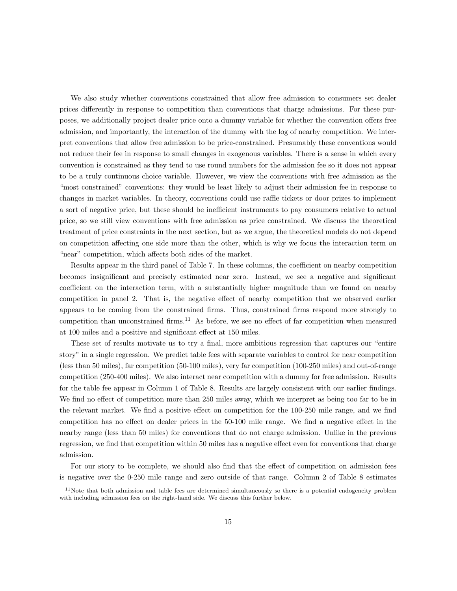We also study whether conventions constrained that allow free admission to consumers set dealer prices differently in response to competition than conventions that charge admissions. For these purposes, we additionally project dealer price onto a dummy variable for whether the convention offers free admission, and importantly, the interaction of the dummy with the log of nearby competition. We interpret conventions that allow free admission to be price-constrained. Presumably these conventions would not reduce their fee in response to small changes in exogenous variables. There is a sense in which every convention is constrained as they tend to use round numbers for the admission fee so it does not appear to be a truly continuous choice variable. However, we view the conventions with free admission as the "most constrained" conventions: they would be least likely to adjust their admission fee in response to changes in market variables. In theory, conventions could use raffle tickets or door prizes to implement a sort of negative price, but these should be inefficient instruments to pay consumers relative to actual price, so we still view conventions with free admission as price constrained. We discuss the theoretical treatment of price constraints in the next section, but as we argue, the theoretical models do not depend on competition affecting one side more than the other, which is why we focus the interaction term on "near" competition, which affects both sides of the market.

Results appear in the third panel of Table 7. In these columns, the coefficient on nearby competition becomes insignificant and precisely estimated near zero. Instead, we see a negative and significant coefficient on the interaction term, with a substantially higher magnitude than we found on nearby competition in panel 2. That is, the negative effect of nearby competition that we observed earlier appears to be coming from the constrained firms. Thus, constrained firms respond more strongly to competition than unconstrained firms.<sup>11</sup> As before, we see no effect of far competition when measured at 100 miles and a positive and significant effect at 150 miles.

These set of results motivate us to try a final, more ambitious regression that captures our "entire story" in a single regression. We predict table fees with separate variables to control for near competition (less than 50 miles), far competition (50-100 miles), very far competition (100-250 miles) and out-of-range competition (250-400 miles). We also interact near competition with a dummy for free admission. Results for the table fee appear in Column 1 of Table 8. Results are largely consistent with our earlier findings. We find no effect of competition more than 250 miles away, which we interpret as being too far to be in the relevant market. We find a positive effect on competition for the 100-250 mile range, and we find competition has no effect on dealer prices in the 50-100 mile range. We find a negative effect in the nearby range (less than 50 miles) for conventions that do not charge admission. Unlike in the previous regression, we find that competition within 50 miles has a negative effect even for conventions that charge admission.

For our story to be complete, we should also find that the effect of competition on admission fees is negative over the 0-250 mile range and zero outside of that range. Column 2 of Table 8 estimates

<sup>&</sup>lt;sup>11</sup>Note that both admission and table fees are determined simultaneously so there is a potential endogeneity problem with including admission fees on the right-hand side. We discuss this further below.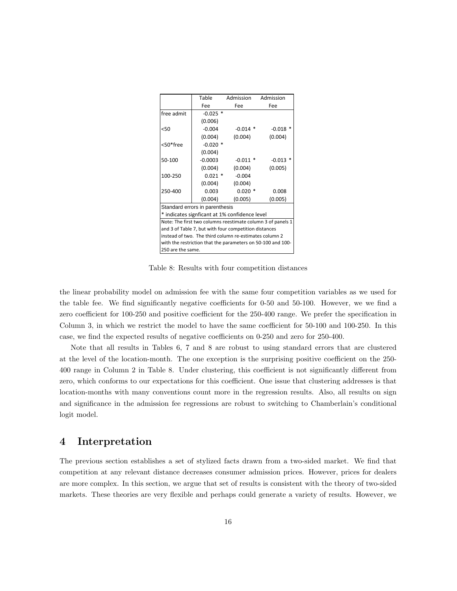|                                                             | Table                                         | Admission Admission |                   |  |  |  |  |  |  |  |  |  |
|-------------------------------------------------------------|-----------------------------------------------|---------------------|-------------------|--|--|--|--|--|--|--|--|--|
|                                                             | Fee                                           | Fee                 | Fee               |  |  |  |  |  |  |  |  |  |
| free admit                                                  | $-0.025$ *                                    |                     |                   |  |  |  |  |  |  |  |  |  |
|                                                             | (0.006)                                       |                     |                   |  |  |  |  |  |  |  |  |  |
| 50<                                                         | $-0.004$                                      | $-0.014$ *          | $-0.018$ *        |  |  |  |  |  |  |  |  |  |
|                                                             | (0.004)                                       | (0.004)             | (0.004)           |  |  |  |  |  |  |  |  |  |
| <50*free                                                    | $-0.020$ *                                    |                     |                   |  |  |  |  |  |  |  |  |  |
|                                                             | (0.004)                                       |                     |                   |  |  |  |  |  |  |  |  |  |
| 50-100                                                      | $-0.0003$                                     | $-0.011$ *          | $-0.013$          |  |  |  |  |  |  |  |  |  |
|                                                             | (0.004)                                       | (0.004)             | (0.005)           |  |  |  |  |  |  |  |  |  |
| 100-250                                                     | $0.021$ *                                     | $-0.004$            |                   |  |  |  |  |  |  |  |  |  |
|                                                             | (0.004)                                       | (0.004)             |                   |  |  |  |  |  |  |  |  |  |
| 250-400                                                     | 0.003                                         | $0.020$ *           | 0.008             |  |  |  |  |  |  |  |  |  |
|                                                             | (0.004)                                       | (0.005)             | (0.005)           |  |  |  |  |  |  |  |  |  |
|                                                             | Standard errors in parenthesis                |                     |                   |  |  |  |  |  |  |  |  |  |
|                                                             | * indicates signficant at 1% confidence level |                     |                   |  |  |  |  |  |  |  |  |  |
| Note: The first two columns reestimate column 3 of panels 1 |                                               |                     |                   |  |  |  |  |  |  |  |  |  |
| and 3 of Table 7, but with four competition distances       |                                               |                     |                   |  |  |  |  |  |  |  |  |  |
| instead of two. The third column re-estimates column 2      |                                               |                     |                   |  |  |  |  |  |  |  |  |  |
| with the restriction that the parameters on 50-100 and 100- |                                               |                     |                   |  |  |  |  |  |  |  |  |  |
|                                                             |                                               |                     | 250 are the same. |  |  |  |  |  |  |  |  |  |

Table 8: Results with four competition distances

the linear probability model on admission fee with the same four competition variables as we used for the table fee. We find significantly negative coefficients for 0-50 and 50-100. However, we we find a zero coefficient for 100-250 and positive coefficient for the 250-400 range. We prefer the specification in Column 3, in which we restrict the model to have the same coefficient for 50-100 and 100-250. In this case, we find the expected results of negative coefficients on 0-250 and zero for 250-400.

Note that all results in Tables 6, 7 and 8 are robust to using standard errors that are clustered at the level of the location-month. The one exception is the surprising positive coefficient on the 250- 400 range in Column 2 in Table 8. Under clustering, this coefficient is not significantly different from zero, which conforms to our expectations for this coefficient. One issue that clustering addresses is that location-months with many conventions count more in the regression results. Also, all results on sign and significance in the admission fee regressions are robust to switching to Chamberlain's conditional logit model.

#### 4 Interpretation

The previous section establishes a set of stylized facts drawn from a two-sided market. We find that competition at any relevant distance decreases consumer admission prices. However, prices for dealers are more complex. In this section, we argue that set of results is consistent with the theory of two-sided markets. These theories are very flexible and perhaps could generate a variety of results. However, we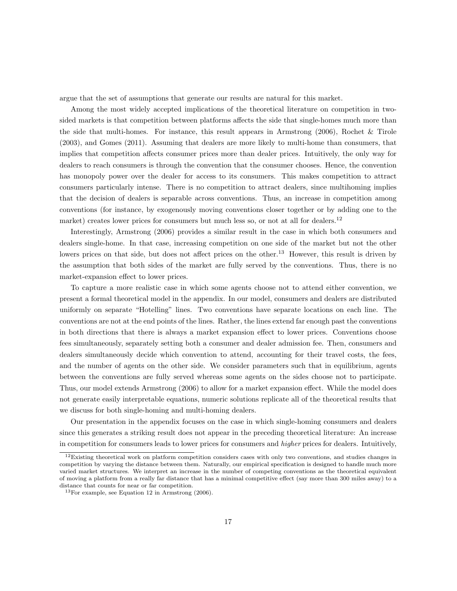argue that the set of assumptions that generate our results are natural for this market.

Among the most widely accepted implications of the theoretical literature on competition in twosided markets is that competition between platforms affects the side that single-homes much more than the side that multi-homes. For instance, this result appears in Armstrong (2006), Rochet & Tirole (2003), and Gomes (2011). Assuming that dealers are more likely to multi-home than consumers, that implies that competition affects consumer prices more than dealer prices. Intuitively, the only way for dealers to reach consumers is through the convention that the consumer chooses. Hence, the convention has monopoly power over the dealer for access to its consumers. This makes competition to attract consumers particularly intense. There is no competition to attract dealers, since multihoming implies that the decision of dealers is separable across conventions. Thus, an increase in competition among conventions (for instance, by exogenously moving conventions closer together or by adding one to the market) creates lower prices for consumers but much less so, or not at all for dealers.<sup>12</sup>

Interestingly, Armstrong (2006) provides a similar result in the case in which both consumers and dealers single-home. In that case, increasing competition on one side of the market but not the other lowers prices on that side, but does not affect prices on the other.<sup>13</sup> However, this result is driven by the assumption that both sides of the market are fully served by the conventions. Thus, there is no market-expansion effect to lower prices.

To capture a more realistic case in which some agents choose not to attend either convention, we present a formal theoretical model in the appendix. In our model, consumers and dealers are distributed uniformly on separate "Hotelling" lines. Two conventions have separate locations on each line. The conventions are not at the end points of the lines. Rather, the lines extend far enough past the conventions in both directions that there is always a market expansion effect to lower prices. Conventions choose fees simultaneously, separately setting both a consumer and dealer admission fee. Then, consumers and dealers simultaneously decide which convention to attend, accounting for their travel costs, the fees, and the number of agents on the other side. We consider parameters such that in equilibrium, agents between the conventions are fully served whereas some agents on the sides choose not to participate. Thus, our model extends Armstrong (2006) to allow for a market expansion effect. While the model does not generate easily interpretable equations, numeric solutions replicate all of the theoretical results that we discuss for both single-homing and multi-homing dealers.

Our presentation in the appendix focuses on the case in which single-homing consumers and dealers since this generates a striking result does not appear in the preceding theoretical literature: An increase in competition for consumers leads to lower prices for consumers and higher prices for dealers. Intuitively,

 $12$ Existing theoretical work on platform competition considers cases with only two conventions, and studies changes in competition by varying the distance between them. Naturally, our empirical specification is designed to handle much more varied market structures. We interpret an increase in the number of competing conventions as the theoretical equivalent of moving a platform from a really far distance that has a minimal competitive effect (say more than 300 miles away) to a distance that counts for near or far competition.

 $13$  For example, see Equation 12 in Armstrong (2006).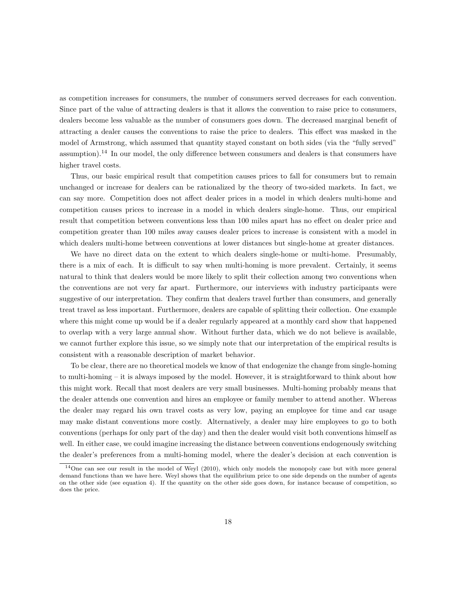as competition increases for consumers, the number of consumers served decreases for each convention. Since part of the value of attracting dealers is that it allows the convention to raise price to consumers, dealers become less valuable as the number of consumers goes down. The decreased marginal benefit of attracting a dealer causes the conventions to raise the price to dealers. This effect was masked in the model of Armstrong, which assumed that quantity stayed constant on both sides (via the "fully served" assumption).<sup>14</sup> In our model, the only difference between consumers and dealers is that consumers have higher travel costs.

Thus, our basic empirical result that competition causes prices to fall for consumers but to remain unchanged or increase for dealers can be rationalized by the theory of two-sided markets. In fact, we can say more. Competition does not affect dealer prices in a model in which dealers multi-home and competition causes prices to increase in a model in which dealers single-home. Thus, our empirical result that competition between conventions less than 100 miles apart has no effect on dealer price and competition greater than 100 miles away causes dealer prices to increase is consistent with a model in which dealers multi-home between conventions at lower distances but single-home at greater distances.

We have no direct data on the extent to which dealers single-home or multi-home. Presumably, there is a mix of each. It is difficult to say when multi-homing is more prevalent. Certainly, it seems natural to think that dealers would be more likely to split their collection among two conventions when the conventions are not very far apart. Furthermore, our interviews with industry participants were suggestive of our interpretation. They confirm that dealers travel further than consumers, and generally treat travel as less important. Furthermore, dealers are capable of splitting their collection. One example where this might come up would be if a dealer regularly appeared at a monthly card show that happened to overlap with a very large annual show. Without further data, which we do not believe is available, we cannot further explore this issue, so we simply note that our interpretation of the empirical results is consistent with a reasonable description of market behavior.

To be clear, there are no theoretical models we know of that endogenize the change from single-homing to multi-homing – it is always imposed by the model. However, it is straightforward to think about how this might work. Recall that most dealers are very small businesses. Multi-homing probably means that the dealer attends one convention and hires an employee or family member to attend another. Whereas the dealer may regard his own travel costs as very low, paying an employee for time and car usage may make distant conventions more costly. Alternatively, a dealer may hire employees to go to both conventions (perhaps for only part of the day) and then the dealer would visit both conventions himself as well. In either case, we could imagine increasing the distance between conventions endogenously switching the dealer's preferences from a multi-homing model, where the dealer's decision at each convention is

<sup>14</sup>One can see our result in the model of Weyl (2010), which only models the monopoly case but with more general demand functions than we have here. Weyl shows that the equilibrium price to one side depends on the number of agents on the other side (see equation 4). If the quantity on the other side goes down, for instance because of competition, so does the price.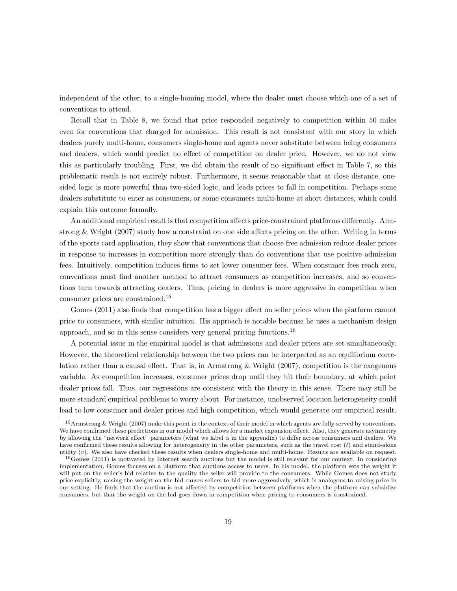independent of the other, to a single-homing model, where the dealer must choose which one of a set of conventions to attend.

Recall that in Table 8, we found that price responded negatively to competition within 50 miles even for conventions that charged for admission. This result is not consistent with our story in which dealers purely multi-home, consumers single-home and agents never substitute between being consumers and dealers, which would predict no effect of competition on dealer price. However, we do not view this as particularly troubling. First, we did obtain the result of no significant effect in Table 7, so this problematic result is not entirely robust. Furthermore, it seems reasonable that at close distance, onesided logic is more powerful than two-sided logic, and leads prices to fall in competition. Perhaps some dealers substitute to enter as consumers, or some consumers multi-home at short distances, which could explain this outcome formally.

An additional empirical result is that competition affects price-constrained platforms differently. Armstrong & Wright (2007) study how a constraint on one side affects pricing on the other. Writing in terms of the sports card application, they show that conventions that choose free admission reduce dealer prices in response to increases in competition more strongly than do conventions that use positive admission fees. Intuitively, competition induces firms to set lower consumer fees. When consumer fees reach zero, conventions must find another method to attract consumers as competition increases, and so conventions turn towards attracting dealers. Thus, pricing to dealers is more aggressive in competition when consumer prices are constrained.<sup>15</sup>

Gomes (2011) also finds that competition has a bigger effect on seller prices when the platform cannot price to consumers, with similar intuition. His approach is notable because he uses a mechanism design approach, and so in this sense considers very general pricing functions.<sup>16</sup>

A potential issue in the empirical model is that admissions and dealer prices are set simultaneously. However, the theoretical relationship between the two prices can be interpreted as an equilibrium correlation rather than a causal effect. That is, in Armstrong & Wright (2007), competition is the exogenous variable. As competition increases, consumer prices drop until they hit their boundary, at which point dealer prices fall. Thus, our regressions are consistent with the theory in this sense. There may still be more standard empirical problems to worry about. For instance, unobserved location heterogeneity could lead to low consumer and dealer prices and high competition, which would generate our empirical result.

<sup>15</sup>Armstrong & Wright (2007) make this point in the context of their model in which agents are fully served by conventions. We have confirmed these predictions in our model which allows for a market expansion effect. Also, they generate asymmetry by allowing the "network effect" parameters (what we label  $\alpha$  in the appendix) to differ across consumers and dealers. We have confirmed these results allowing for heterogeneity in the other parameters, such as the travel cost  $(t)$  and stand-alone utility (v). We also have checked these results when dealers single-home and multi-home. Results are available on request.

 $16$ Gomes (2011) is motivated by Internet search auctions but the model is still relevant for our context. In considering implementation, Gomes focuses on a platform that auctions access to users. In his model, the platform sets the weight it will put on the seller's bid relative to the quality the seller will provide to the consumers. While Gomes does not study price explicitly, raising the weight on the bid causes sellers to bid more aggressively, which is analogous to raising price in our setting. He finds that the auction is not affected by competition between platforms when the platform can subsidize consumers, but that the weight on the bid goes down in competition when pricing to consumers is constrained.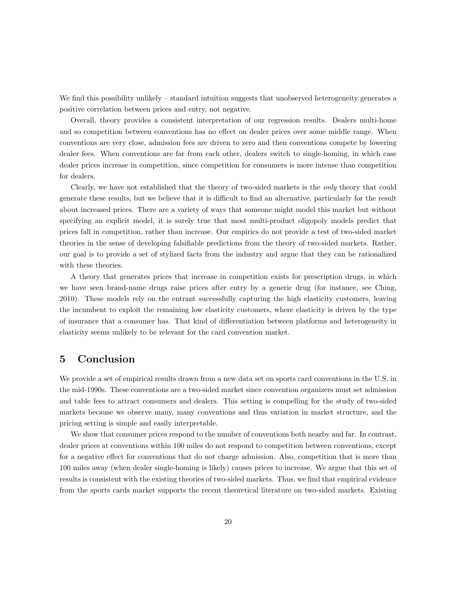We find this possibility unlikely – standard intuition suggests that unobserved heterogeneity generates a positive correlation between prices and entry, not negative.

Overall, theory provides a consistent interpretation of our regression results. Dealers multi-home and so competition between conventions has no effect on dealer prices over some middle range. When conventions are very close, admission fees are driven to zero and then conventions compete by lowering dealer fees. When conventions are far from each other, dealers switch to single-homing, in which case dealer prices increase in competition, since competition for consumers is more intense than competition for dealers.

Clearly, we have not established that the theory of two-sided markets is the only theory that could generate these results, but we believe that it is difficult to find an alternative, particularly for the result about increased prices. There are a variety of ways that someone might model this market but without specifying an explicit model, it is surely true that most multi-product oligopoly models predict that prices fall in competition, rather than increase. Our empirics do not provide a test of two-sided market theories in the sense of developing falsifiable predictions from the theory of two-sided markets. Rather, our goal is to provide a set of stylized facts from the industry and argue that they can be rationalized with these theories.

A theory that generates prices that increase in competition exists for prescription drugs, in which we have seen brand-name drugs raise prices after entry by a generic drug (for instance, see Ching, 2010). These models rely on the entrant successfully capturing the high elasticity customers, leaving the incumbent to exploit the remaining low elasticity customers, where elasticity is driven by the type of insurance that a consumer has. That kind of differentiation between platforms and heterogeneity in elasticity seems unlikely to be relevant for the card convention market.

## 5 Conclusion

We provide a set of empirical results drawn from a new data set on sports card conventions in the U.S. in the mid-1990s. These conventions are a two-sided market since convention organizers must set admission and table fees to attract consumers and dealers. This setting is compelling for the study of two-sided markets because we observe many, many conventions and thus variation in market structure, and the pricing setting is simple and easily interpretable.

We show that consumer prices respond to the number of conventions both nearby and far. In contrast, dealer prices at conventions within 100 miles do not respond to competition between conventions, except for a negative effect for conventions that do not charge admission. Also, competition that is more than 100 miles away (when dealer single-homing is likely) causes prices to increase. We argue that this set of results is consistent with the existing theories of two-sided markets. Thus, we find that empirical evidence from the sports cards market supports the recent theoretical literature on two-sided markets. Existing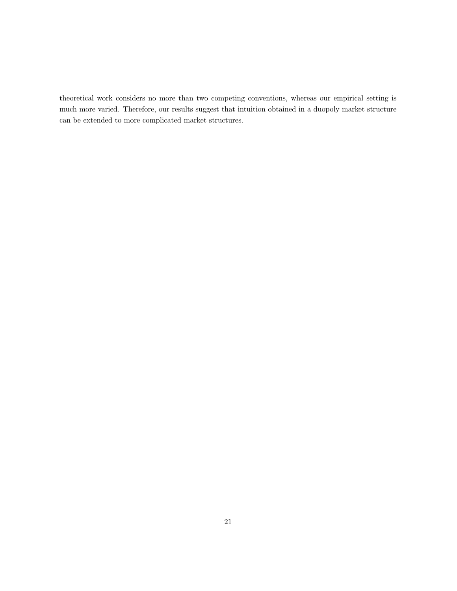theoretical work considers no more than two competing conventions, whereas our empirical setting is much more varied. Therefore, our results suggest that intuition obtained in a duopoly market structure can be extended to more complicated market structures.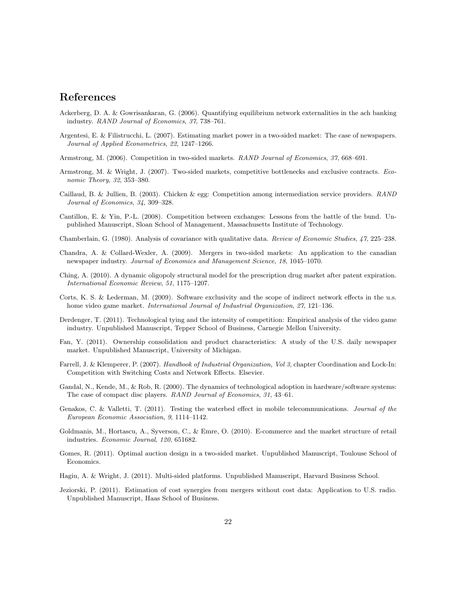## References

- Ackerberg, D. A. & Gowrisankaran, G. (2006). Quantifying equilibrium network externalities in the ach banking industry. RAND Journal of Economics, 37, 738–761.
- Argentesi, E. & Filistrucchi, L. (2007). Estimating market power in a two-sided market: The case of newspapers. Journal of Applied Econometrics, 22, 1247–1266.
- Armstrong, M. (2006). Competition in two-sided markets. RAND Journal of Economics, 37, 668–691.
- Armstrong, M. & Wright, J. (2007). Two-sided markets, competitive bottlenecks and exclusive contracts. Economic Theory, 32, 353–380.
- Caillaud, B. & Jullien, B. (2003). Chicken & egg: Competition among intermediation service providers. RAND Journal of Economics, 34, 309–328.
- Cantillon, E. & Yin, P.-L. (2008). Competition between exchanges: Lessons from the battle of the bund. Unpublished Manuscript, Sloan School of Management, Massachusetts Institute of Technology.
- Chamberlain, G. (1980). Analysis of covariance with qualitative data. Review of Economic Studies, 47, 225–238.
- Chandra, A. & Collard-Wexler, A. (2009). Mergers in two-sided markets: An application to the canadian newspaper industry. Journal of Economics and Management Science, 18, 1045–1070.
- Ching, A. (2010). A dynamic oligopoly structural model for the prescription drug market after patent expiration. International Economic Review, 51, 1175–1207.
- Corts, K. S. & Lederman, M. (2009). Software exclusivity and the scope of indirect network effects in the u.s. home video game market. *International Journal of Industrial Organization*, 27, 121–136.
- Derdenger, T. (2011). Technological tying and the intensity of competition: Empirical analysis of the video game industry. Unpublished Manuscript, Tepper School of Business, Carnegie Mellon University.
- Fan, Y. (2011). Ownership consolidation and product characteristics: A study of the U.S. daily newspaper market. Unpublished Manuscript, University of Michigan.
- Farrell, J. & Klemperer, P. (2007). Handbook of Industrial Organization, Vol 3, chapter Coordination and Lock-In: Competition with Switching Costs and Network Effects. Elsevier.
- Gandal, N., Kende, M., & Rob, R. (2000). The dynamics of technological adoption in hardware/software systems: The case of compact disc players. RAND Journal of Economics, 31, 43–61.
- Genakos, C. & Valletti, T. (2011). Testing the waterbed effect in mobile telecommunications. Journal of the European Economic Association, 9, 1114–1142.
- Goldmanis, M., Hortascu, A., Syverson, C., & Emre, O. (2010). E-commerce and the market structure of retail industries. Economic Journal, 120, 651682.
- Gomes, R. (2011). Optimal auction design in a two-sided market. Unpublished Manuscript, Toulouse School of Economics.
- Hagiu, A. & Wright, J. (2011). Multi-sided platforms. Unpublished Manuscript, Harvard Business School.
- Jeziorski, P. (2011). Estimation of cost synergies from mergers without cost data: Application to U.S. radio. Unpublished Manuscript, Haas School of Business.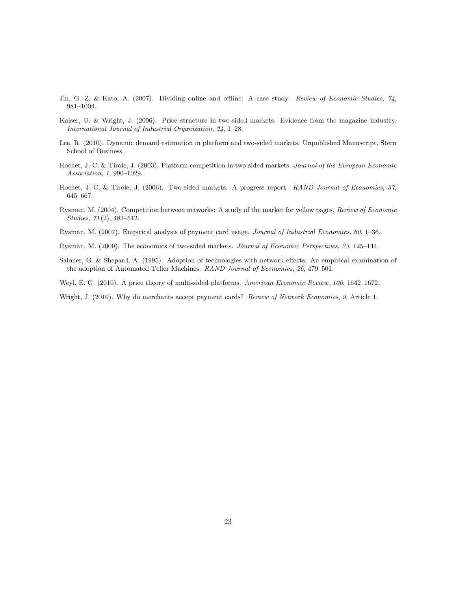- Jin, G. Z. & Kato, A. (2007). Dividing online and offline: A case study. Review of Economic Studies, 74, 981–1004.
- Kaiser, U. & Wright, J. (2006). Price structure in two-sided markets: Evidence from the magazine industry. International Journal of Industrial Organization, 24, 1–28.
- Lee, R. (2010). Dynamic demand estimation in platform and two-sided markets. Unpublished Manuscript, Stern School of Business.
- Rochet, J.-C. & Tirole, J. (2003). Platform competition in two-sided markets. Journal of the European Economic Association, 1, 990–1029.
- Rochet, J.-C. & Tirole, J. (2006). Two-sided markets: A progress report. RAND Journal of Economics, 37, 645–667.
- Rysman, M. (2004). Competition between networks: A study of the market for yellow pages. Review of Economic Studies, 71 (2), 483–512.
- Rysman, M. (2007). Empirical analysis of payment card usage. Journal of Industrial Economics, 60, 1–36.
- Rysman, M. (2009). The economics of two-sided markets. Journal of Economic Perspectives, 23, 125–144.
- Saloner, G. & Shepard, A. (1995). Adoption of technologies with network effects: An empirical examination of the adoption of Automated Teller Machines. RAND Journal of Economics, 26, 479–501.
- Weyl, E. G. (2010). A price theory of multi-sided platforms. American Economic Review, 100, 1642–1672.
- Wright, J. (2010). Why do merchants accept payment cards? Review of Network Economics, 9, Article 1.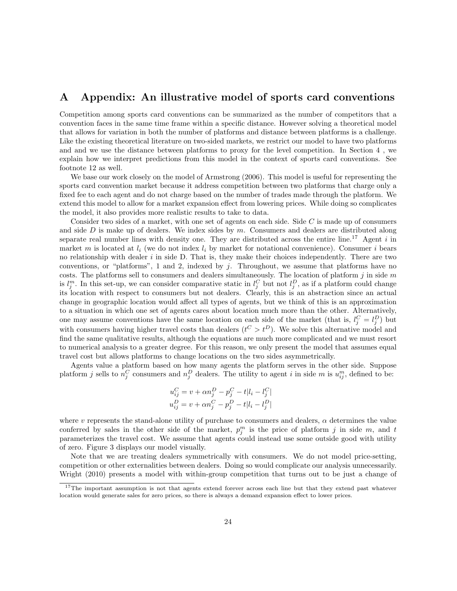## A Appendix: An illustrative model of sports card conventions

Competition among sports card conventions can be summarized as the number of competitors that a convention faces in the same time frame within a specific distance. However solving a theoretical model that allows for variation in both the number of platforms and distance between platforms is a challenge. Like the existing theoretical literature on two-sided markets, we restrict our model to have two platforms and and we use the distance between platforms to proxy for the level competition. In Section 4 , we explain how we interpret predictions from this model in the context of sports card conventions. See footnote 12 as well.

We base our work closely on the model of Armstrong (2006). This model is useful for representing the sports card convention market because it address competition between two platforms that charge only a fixed fee to each agent and do not charge based on the number of trades made through the platform. We extend this model to allow for a market expansion effect from lowering prices. While doing so complicates the model, it also provides more realistic results to take to data.

Consider two sides of a market, with one set of agents on each side. Side  $C$  is made up of consumers and side  $D$  is make up of dealers. We index sides by  $m$ . Consumers and dealers are distributed along separate real number lines with density one. They are distributed across the entire line.<sup>17</sup> Agent  $i$  in market m is located at  $l_i$  (we do not index  $l_i$  by market for notational convenience). Consumer i bears no relationship with dealer  $i$  in side D. That is, they make their choices independently. There are two conventions, or "platforms", 1 and 2, indexed by  $j$ . Throughout, we assume that platforms have no costs. The platforms sell to consumers and dealers simultaneously. The location of platform  $j$  in side  $m$ is  $l_j^m$ . In this set-up, we can consider comparative static in  $l_j^C$  but not  $l_j^D$ , as if a platform could change its location with respect to consumers but not dealers. Clearly, this is an abstraction since an actual change in geographic location would affect all types of agents, but we think of this is an approximation to a situation in which one set of agents cares about location much more than the other. Alternatively, one may assume conventions have the same location on each side of the market (that is,  $l_j^C = l_j^D$ ) but with consumers having higher travel costs than dealers  $(t^C > t^D)$ . We solve this alternative model and find the same qualitative results, although the equations are much more complicated and we must resort to numerical analysis to a greater degree. For this reason, we only present the model that assumes equal travel cost but allows platforms to change locations on the two sides asymmetrically.

Agents value a platform based on how many agents the platform serves in the other side. Suppose platform j sells to  $n_j^C$  consumers and  $n_j^D$  dealers. The utility to agent i in side m is  $u_{ij}^m$ , defined to be:

$$
u_{ij}^C = v + \alpha n_j^D - p_j^C - t|l_i - l_j^C|
$$
  

$$
u_{ij}^D = v + \alpha n_j^C - p_j^D - t|l_i - l_j^D|
$$

where v represents the stand-alone utility of purchase to consumers and dealers,  $\alpha$  determines the value conferred by sales in the other side of the market,  $p_j^m$  is the price of platform j in side m, and t parameterizes the travel cost. We assume that agents could instead use some outside good with utility of zero. Figure 3 displays our model visually.

Note that we are treating dealers symmetrically with consumers. We do not model price-setting, competition or other externalities between dealers. Doing so would complicate our analysis unnecessarily. Wright (2010) presents a model with within-group competition that turns out to be just a change of

<sup>&</sup>lt;sup>17</sup>The important assumption is not that agents extend forever across each line but that they extend past whatever location would generate sales for zero prices, so there is always a demand expansion effect to lower prices.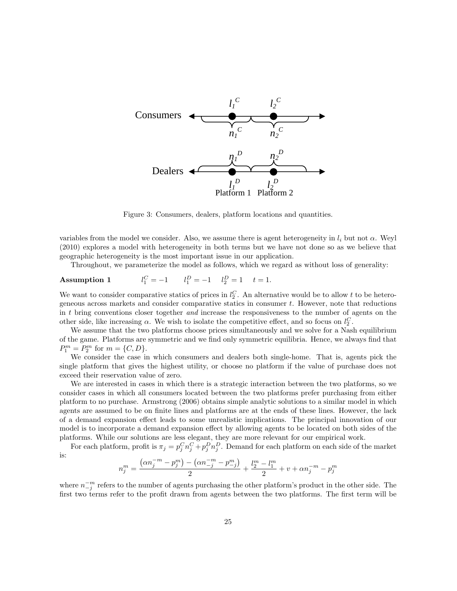

Figure 3: Consumers, dealers, platform locations and quantities.

variables from the model we consider. Also, we assume there is agent heterogeneity in  $l_i$  but not  $\alpha$ . Weyl (2010) explores a model with heterogeneity in both terms but we have not done so as we believe that geographic heterogeneity is the most important issue in our application.

Throughout, we parameterize the model as follows, which we regard as without loss of generality:

#### Assumption 1  $C_1^C = -1$   $l_1^D = -1$   $l_2^D = 1$   $t = 1$ .

We want to consider comparative statics of prices in  $l_2^C$ . An alternative would be to allow t to be heterogeneous across markets and consider comparative statics in consumer  $t$ . However, note that reductions in t bring conventions closer together and increase the responsiveness to the number of agents on the other side, like increasing  $\alpha$ . We wish to isolate the competitive effect, and so focus on  $l_2^C$ .

We assume that the two platforms choose prices simultaneously and we solve for a Nash equilibrium of the game. Platforms are symmetric and we find only symmetric equilibria. Hence, we always find that  $P_1^m = P_2^m$  for  $m = \{C, D\}.$ 

We consider the case in which consumers and dealers both single-home. That is, agents pick the single platform that gives the highest utility, or choose no platform if the value of purchase does not exceed their reservation value of zero.

We are interested in cases in which there is a strategic interaction between the two platforms, so we consider cases in which all consumers located between the two platforms prefer purchasing from either platform to no purchase. Armstrong (2006) obtains simple analytic solutions to a similar model in which agents are assumed to be on finite lines and platforms are at the ends of these lines. However, the lack of a demand expansion effect leads to some unrealistic implications. The principal innovation of our model is to incorporate a demand expansion effect by allowing agents to be located on both sides of the platforms. While our solutions are less elegant, they are more relevant for our empirical work.

For each platform, profit is  $\pi_j = p_j^C n_j^C + p_j^D n_j^D$ . Demand for each platform on each side of the market is:

$$
n_j^m = \frac{\left(\alpha n_j^{-m} - p_j^m\right) - \left(\alpha n_{-j}^{-m} - p_{-j}^m\right)}{2} + \frac{l_2^m - l_1^m}{2} + v + \alpha n_j^{-m} - p_j^m
$$

where  $n_{-j}^{-m}$  refers to the number of agents purchasing the other platform's product in the other side. The first two terms refer to the profit drawn from agents between the two platforms. The first term will be